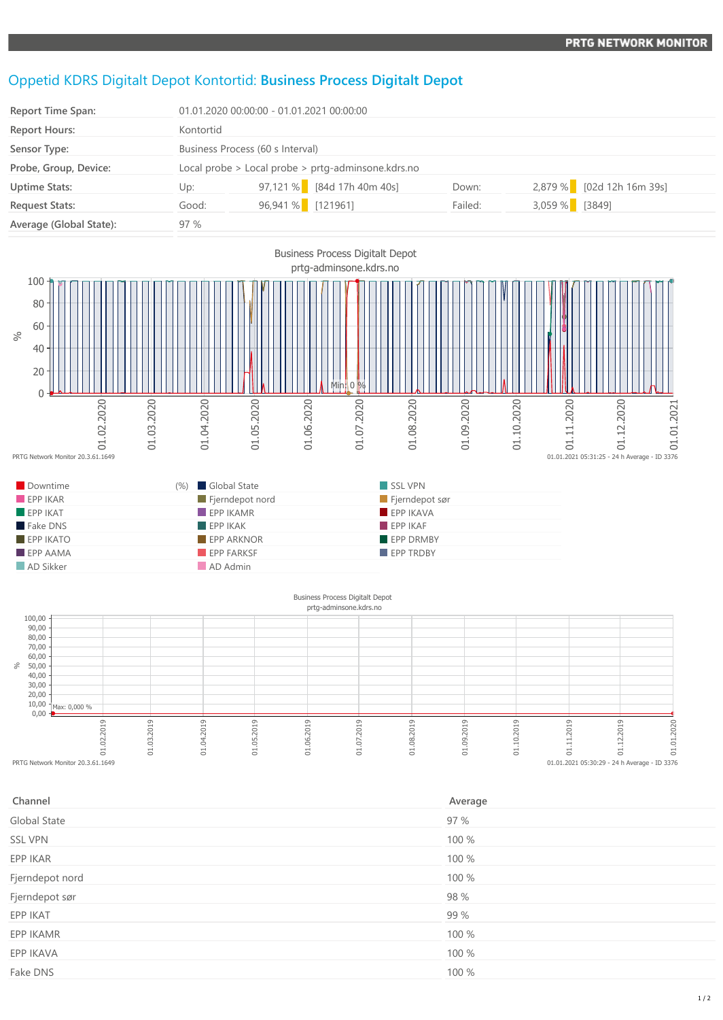## Oppetid KDRS Digitalt Depot Kontortid: **Business Process Digitalt Depot**

| <b>Report Time Span:</b> | 01.01.2020 00:00:00 - 01.01.2021 00:00:00              |                                  |                            |         |                |                           |
|--------------------------|--------------------------------------------------------|----------------------------------|----------------------------|---------|----------------|---------------------------|
| <b>Report Hours:</b>     | Kontortid                                              |                                  |                            |         |                |                           |
| Sensor Type:             |                                                        | Business Process (60 s Interval) |                            |         |                |                           |
| Probe, Group, Device:    | Local probe $>$ Local probe $>$ prtg-adminsone.kdrs.no |                                  |                            |         |                |                           |
| <b>Uptime Stats:</b>     | Up:                                                    |                                  | 97,121 % [84d 17h 40m 40s] | Down:   |                | 2,879 % [02d 12h 16m 39s] |
| <b>Request Stats:</b>    | Good:                                                  | 96,941 % [121961]                |                            | Failed: | 3,059 % [3849] |                           |
| Average (Global State):  | 97%                                                    |                                  |                            |         |                |                           |



## $0,00 -$ 10,00 20,00 30,00 40,00 50,00  $60,00$ 70,00 80,00 90,00  $100,00$ %end control control control control control control control control control control control control control control control control control control control control control control control control control control control co 01.03.2019 01.04.2019 01.05.2019 01.06.2019 01.07.2019 01.08.2019 01.09.2019 01.10.2019 01.11.2019 01.12.2019 01.01.2020 prtg-adminsone.kdrs.no Max: 0,000 %  $01.01.2021$  05:30:29 - 24 h Average - ID 3376

| Channel         | Average |
|-----------------|---------|
| Global State    | 97 %    |
| <b>SSL VPN</b>  | 100 %   |
| EPP IKAR        | 100 %   |
| Fjerndepot nord | 100 %   |
| Fjerndepot sør  | 98 %    |
| EPP IKAT        | 99 %    |
| EPP IKAMR       | 100 %   |
| EPP IKAVA       | 100 %   |
| Fake DNS        | 100 %   |
|                 |         |